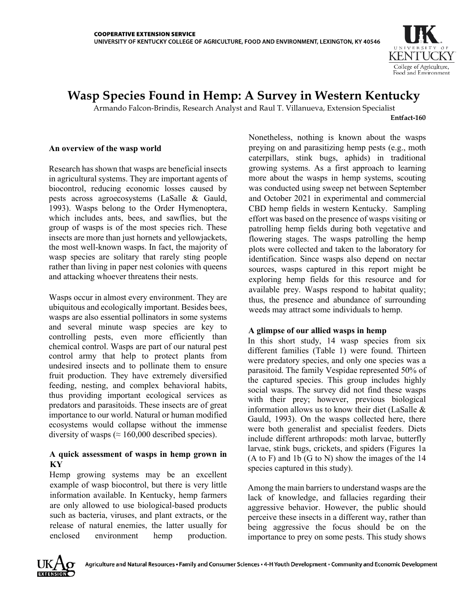

# **Wasp Species Found in Hemp: A Survey in Western Kentucky**

Armando Falcon-Brindis, Research Analyst and Raul T. Villanueva, Extension Specialist

#### **Entfact-160**

#### **An overview of the wasp world**

Research has shown that wasps are beneficial insects in agricultural systems. They are important agents of biocontrol, reducing economic losses caused by pests across agroecosystems (LaSalle & Gauld, 1993). Wasps belong to the Order Hymenoptera, which includes ants, bees, and sawflies, but the group of wasps is of the most species rich. These insects are more than just hornets and yellowjackets, the most well-known wasps. In fact, the majority of wasp species are solitary that rarely sting people rather than living in paper nest colonies with queens and attacking whoever threatens their nests.

Wasps occur in almost every environment. They are ubiquitous and ecologically important. Besides bees, wasps are also essential pollinators in some systems and several minute wasp species are key to controlling pests, even more efficiently than chemical control. Wasps are part of our natural pest control army that help to protect plants from undesired insects and to pollinate them to ensure fruit production. They have extremely diversified feeding, nesting, and complex behavioral habits, thus providing important ecological services as predators and parasitoids. These insects are of great importance to our world. Natural or human modified ecosystems would collapse without the immense diversity of wasps ( $\approx 160,000$  described species).

### **A quick assessment of wasps in hemp grown in KY**

Hemp growing systems may be an excellent example of wasp biocontrol, but there is very little information available. In Kentucky, hemp farmers are only allowed to use biological-based products such as bacteria, viruses, and plant extracts, or the release of natural enemies, the latter usually for enclosed environment hemp production.

Nonetheless, nothing is known about the wasps preying on and parasitizing hemp pests (e.g., moth caterpillars, stink bugs, aphids) in traditional growing systems. As a first approach to learning more about the wasps in hemp systems, scouting was conducted using sweep net between September and October 2021 in experimental and commercial CBD hemp fields in western Kentucky. Sampling effort was based on the presence of wasps visiting or patrolling hemp fields during both vegetative and flowering stages. The wasps patrolling the hemp plots were collected and taken to the laboratory for identification. Since wasps also depend on nectar sources, wasps captured in this report might be exploring hemp fields for this resource and for available prey. Wasps respond to habitat quality; thus, the presence and abundance of surrounding weeds may attract some individuals to hemp.

## **A glimpse of our allied wasps in hemp**

In this short study, 14 wasp species from six different families (Table 1) were found. Thirteen were predatory species, and only one species was a parasitoid. The family Vespidae represented 50% of the captured species. This group includes highly social wasps. The survey did not find these wasps with their prey; however, previous biological information allows us to know their diet (LaSalle & Gauld, 1993). On the wasps collected here, there were both generalist and specialist feeders. Diets include different arthropods: moth larvae, butterfly larvae, stink bugs, crickets, and spiders (Figures 1a (A to F) and 1b (G to N) show the images of the 14 species captured in this study).

Among the main barriers to understand wasps are the lack of knowledge, and fallacies regarding their aggressive behavior. However, the public should perceive these insects in a different way, rather than being aggressive the focus should be on the importance to prey on some pests. This study shows

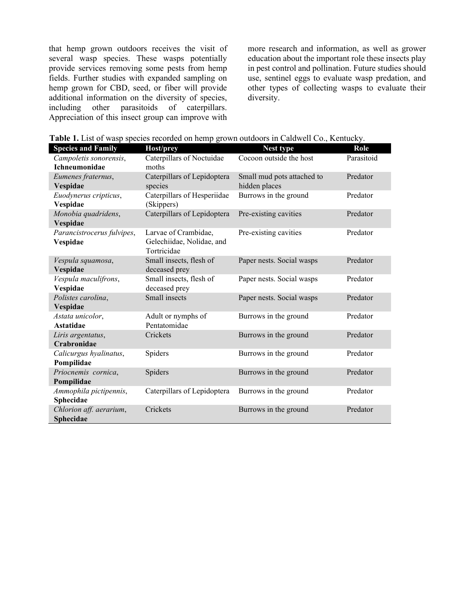that hemp grown outdoors receives the visit of several wasp species. These wasps potentially provide services removing some pests from hemp fields. Further studies with expanded sampling on hemp grown for CBD, seed, or fiber will provide additional information on the diversity of species, including other parasitoids of caterpillars. Appreciation of this insect group can improve with

more research and information, as well as grower education about the important role these insects play in pest control and pollination. Future studies should use, sentinel eggs to evaluate wasp predation, and other types of collecting wasps to evaluate their diversity.

|  | Table 1. List of wasp species recorded on hemp grown outdoors in Caldwell Co., Kentucky. |  |  |
|--|------------------------------------------------------------------------------------------|--|--|
|  |                                                                                          |  |  |

| <b>Species and Family</b>               | Host/prey                                                        | Nest type                                   | Role       |
|-----------------------------------------|------------------------------------------------------------------|---------------------------------------------|------------|
| Campoletis sonorensis,<br>Ichneumonidae | Caterpillars of Noctuidae<br>moths                               | Cocoon outside the host                     | Parasitoid |
| Eumenes fraternus,<br><b>Vespidae</b>   | Caterpillars of Lepidoptera<br>species                           | Small mud pots attached to<br>hidden places | Predator   |
| Euodynerus cripticus,<br>Vespidae       | Caterpillars of Hesperiidae<br>(Skippers)                        | Burrows in the ground                       | Predator   |
| Monobia quadridens,<br>Vespidae         | Caterpillars of Lepidoptera                                      | Pre-existing cavities                       | Predator   |
| Parancistrocerus fulvipes,<br>Vespidae  | Larvae of Crambidae,<br>Gelechiidae, Nolidae, and<br>Tortricidae | Pre-existing cavities                       | Predator   |
| Vespula squamosa,<br>Vespidae           | Small insects, flesh of<br>deceased prey                         | Paper nests. Social wasps                   | Predator   |
| Vespula maculifrons,<br>Vespidae        | Small insects, flesh of<br>deceased prey                         | Paper nests. Social wasps                   | Predator   |
| Polistes carolina,<br>Vespidae          | Small insects                                                    | Paper nests. Social wasps                   | Predator   |
| Astata unicolor,<br><b>Astatidae</b>    | Adult or nymphs of<br>Pentatomidae                               | Burrows in the ground                       | Predator   |
| Liris argentatus,<br>Crabronidae        | Crickets                                                         | Burrows in the ground                       | Predator   |
| Calicurgus hyalinatus,<br>Pompilidae    | Spiders                                                          | Burrows in the ground                       | Predator   |
| Priocnemis cornica,<br>Pompilidae       | Spiders                                                          | Burrows in the ground                       | Predator   |
| Ammophila pictipennis,<br>Sphecidae     | Caterpillars of Lepidoptera                                      | Burrows in the ground                       | Predator   |
| Chlorion aff. aerarium,<br>Sphecidae    | Crickets                                                         | Burrows in the ground                       | Predator   |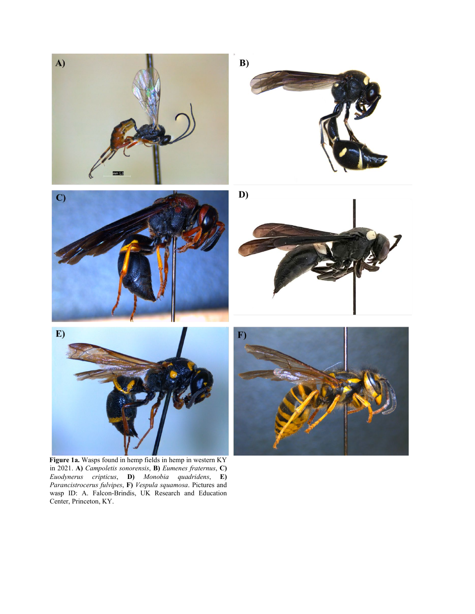











**Figure 1a.** Wasps found in hemp fields in hemp in western KY in 2021. **A)** *Campoletis sonorensis*, **B)** *Eumenes fraternus*, **C)**  *Euodynerus cripticus*, **D)** *Monobia quadridens*, **E)**  *Parancistrocerus fulvipes*, **F)** *Vespula squamosa*. Pictures and wasp ID: A. Falcon-Brindis, UK Research and Education Center, Princeton, KY.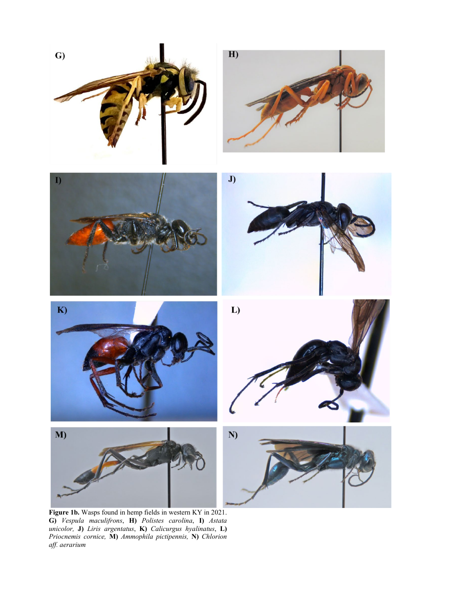















**Figure 1b.** Wasps found in hemp fields in western KY in 2021. **G)** *Vespula maculifrons*, **H)** *Polistes carolina*, **I)** *Astata unicolor,* **J)** *Liris argentatus*, **K)** *Calicurgus hyalinatus*, **L)** *Priocnemis cornice,* **M)** *Ammophila pictipennis,* **N)** *Chlorion aff. aerarium*